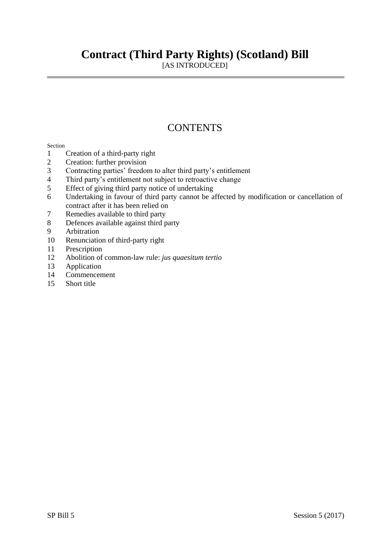## **Contract (Third Party Rights) (Scotland) Bill**

[AS INTRODUCED]

## **CONTENTS**

### Section

- Creation of a third-party right
- Creation: further provision
- Contracting parties' freedom to alter third party's entitlement
- Third party's entitlement not subject to retroactive change
- Effect of giving third party notice of undertaking
- Undertaking in favour of third party cannot be affected by modification or cancellation of contract after it has been relied on
- Remedies available to third party
- Defences available against third party
- Arbitration
- Renunciation of third-party right
- Prescription
- Abolition of common-law rule: *jus quaesitum tertio*
- Application
- Commencement
- Short title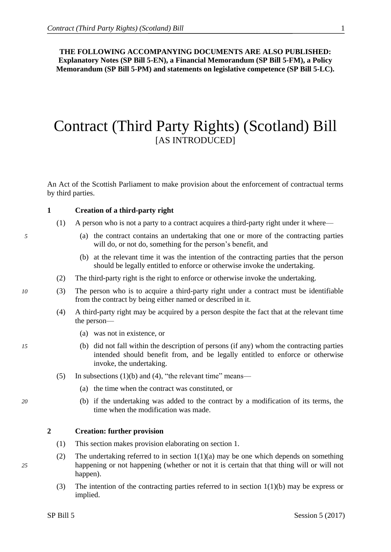<span id="page-2-0"></span>**THE FOLLOWING ACCOMPANYING DOCUMENTS ARE ALSO PUBLISHED: Explanatory Notes (SP Bill 5-EN), a Financial Memorandum (SP Bill 5-FM), a Policy Memorandum (SP Bill 5-PM) and statements on legislative competence (SP Bill 5-LC).**

## Contract (Third Party Rights) (Scotland) Bill [AS INTRODUCED]

An Act of the Scottish Parliament to make provision about the enforcement of contractual terms by third parties.

### **1 Creation of a third-party right**

- (1) A person who is not a party to a contract acquires a third-party right under it where—
- *5* (a) the contract contains an undertaking that one or more of the contracting parties will do, or not do, something for the person's benefit, and
	- (b) at the relevant time it was the intention of the contracting parties that the person should be legally entitled to enforce or otherwise invoke the undertaking.
	- (2) The third-party right is the right to enforce or otherwise invoke the undertaking.
- *10* (3) The person who is to acquire a third-party right under a contract must be identifiable from the contract by being either named or described in it.
	- (4) A third-party right may be acquired by a person despite the fact that at the relevant time the person—
		- (a) was not in existence, or
- *15* (b) did not fall within the description of persons (if any) whom the contracting parties intended should benefit from, and be legally entitled to enforce or otherwise invoke, the undertaking.
	- (5) In subsections [\(1\)\(b\)](#page-2-0) and [\(4\),](#page-2-0) "the relevant time" means—
		- (a) the time when the contract was constituted, or
- *20* (b) if the undertaking was added to the contract by a modification of its terms, the time when the modification was made.

#### **2 Creation: further provision**

- (1) This section makes provision elaborating on section [1.](#page-2-0)
- (2) The undertaking referred to in section  $1(1)(a)$  may be one which depends on something *25* happening or not happening (whether or not it is certain that that thing will or will not happen).
	- (3) The intention of the contracting parties referred to in section  $1(1)(b)$  may be express or implied.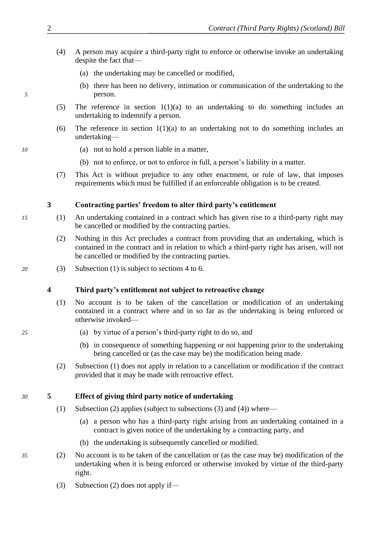- <span id="page-3-0"></span>(4) A person may acquire a third-party right to enforce or otherwise invoke an undertaking despite the fact that—
	- (a) the undertaking may be cancelled or modified,
- (b) there has been no delivery, intimation or communication of the undertaking to the *5* person.
	- (5) The reference in section [1\(1\)\(a\)](#page-2-0) to an undertaking to do something includes an undertaking to indemnify a person.
	- (6) The reference in section  $1(1)(a)$  to an undertaking not to do something includes an undertaking—
- *10* (a) not to hold a person liable in a matter,
	- (b) not to enforce, or not to enforce in full, a person's liability in a matter.
	- (7) This Act is without prejudice to any other enactment, or rule of law, that imposes requirements which must be fulfilled if an enforceable obligation is to be created.

## **3 Contracting parties' freedom to alter third party's entitlement**

- *15* (1) An undertaking contained in a contract which has given rise to a third-party right may be cancelled or modified by the contracting parties.
	- (2) Nothing in this Act precludes a contract from providing that an undertaking, which is contained in the contract and in relation to which a third-party right has arisen, will not be cancelled or modified by the contracting parties.
- *20* (3) Subsection [\(1\)](#page-3-0) is subject to sections [4](#page-3-0) to [6.](#page-4-0)

### **4 Third party's entitlement not subject to retroactive change**

- (1) No account is to be taken of the cancellation or modification of an undertaking contained in a contract where and in so far as the undertaking is being enforced or otherwise invoked—
- *25* (a) by virtue of a person's third-party right to do so, and
	- (b) in consequence of something happening or not happening prior to the undertaking being cancelled or (as the case may be) the modification being made.
	- (2) Subsection [\(1\)](#page-3-0) does not apply in relation to a cancellation or modification if the contract provided that it may be made with retroactive effect.

## *30* **5 Effect of giving third party notice of undertaking**

- (1) Subsection [\(2\)](#page-3-0) applies (subject to subsections [\(3\)](#page-3-0) and [\(4\)\)](#page-4-0) where—
	- (a) a person who has a third-party right arising from an undertaking contained in a contract is given notice of the undertaking by a contracting party, and
	- (b) the undertaking is subsequently cancelled or modified.
- *35* (2) No account is to be taken of the cancellation or (as the case may be) modification of the undertaking when it is being enforced or otherwise invoked by virtue of the third-party right.
	- (3) Subsection [\(2\)](#page-3-0) does not apply if—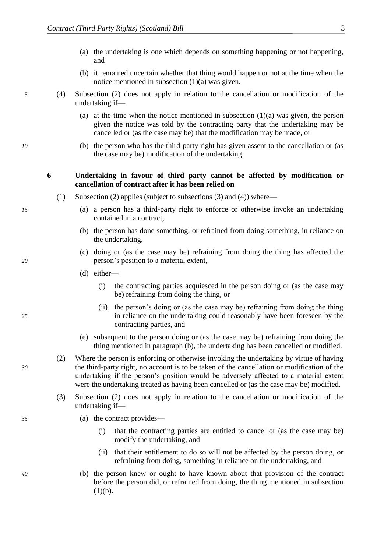- <span id="page-4-0"></span>(a) the undertaking is one which depends on something happening or not happening, and
- (b) it remained uncertain whether that thing would happen or not at the time when the notice mentioned in subsection [\(1\)\(a\)](#page-3-0) was given.
- *5* (4) Subsection [\(2\)](#page-3-0) does not apply in relation to the cancellation or modification of the undertaking if—
	- (a) at the time when the notice mentioned in subsection [\(1\)\(a\)](#page-3-0) was given, the person given the notice was told by the contracting party that the undertaking may be cancelled or (as the case may be) that the modification may be made, or
- *10* (b) the person who has the third-party right has given assent to the cancellation or (as the case may be) modification of the undertaking.

### **6 Undertaking in favour of third party cannot be affected by modification or cancellation of contract after it has been relied on**

- (1) Subsection [\(2\)](#page-4-0) applies (subject to subsections [\(3\)](#page-4-0) and [\(4\)\)](#page-5-0) where—
- *15* (a) a person has a third-party right to enforce or otherwise invoke an undertaking contained in a contract,
	- (b) the person has done something, or refrained from doing something, in reliance on the undertaking,
- (c) doing or (as the case may be) refraining from doing the thing has affected the *20* person's position to a material extent,
	- (d) either—
		- (i) the contracting parties acquiesced in the person doing or (as the case may be) refraining from doing the thing, or
- (ii) the person's doing or (as the case may be) refraining from doing the thing *25* in reliance on the undertaking could reasonably have been foreseen by the contracting parties, and
	- (e) subsequent to the person doing or (as the case may be) refraining from doing the thing mentioned in paragraph [\(b\),](#page-4-0) the undertaking has been cancelled or modified.
- (2) Where the person is enforcing or otherwise invoking the undertaking by virtue of having *30* the third-party right, no account is to be taken of the cancellation or modification of the undertaking if the person's position would be adversely affected to a material extent were the undertaking treated as having been cancelled or (as the case may be) modified.
	- (3) Subsection [\(2\)](#page-4-0) does not apply in relation to the cancellation or modification of the undertaking if—
- *35* (a) the contract provides—
	- (i) that the contracting parties are entitled to cancel or (as the case may be) modify the undertaking, and
	- (ii) that their entitlement to do so will not be affected by the person doing, or refraining from doing, something in reliance on the undertaking, and
- *40* (b) the person knew or ought to have known about that provision of the contract before the person did, or refrained from doing, the thing mentioned in subsection  $(1)(b).$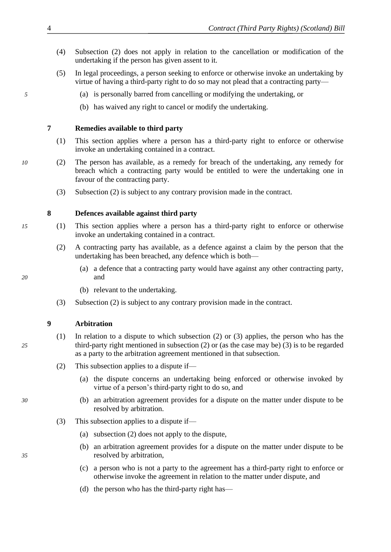- <span id="page-5-0"></span>(4) Subsection [\(2\)](#page-4-0) does not apply in relation to the cancellation or modification of the undertaking if the person has given assent to it.
- (5) In legal proceedings, a person seeking to enforce or otherwise invoke an undertaking by virtue of having a third-party right to do so may not plead that a contracting party—
- *5* (a) is personally barred from cancelling or modifying the undertaking, or
	- (b) has waived any right to cancel or modify the undertaking.

## **7 Remedies available to third party**

- (1) This section applies where a person has a third-party right to enforce or otherwise invoke an undertaking contained in a contract.
- *10* (2) The person has available, as a remedy for breach of the undertaking, any remedy for breach which a contracting party would be entitled to were the undertaking one in favour of the contracting party.
	- (3) Subsection [\(2\)](#page-5-0) is subject to any contrary provision made in the contract.

## **8 Defences available against third party**

- *15* (1) This section applies where a person has a third-party right to enforce or otherwise invoke an undertaking contained in a contract.
	- (2) A contracting party has available, as a defence against a claim by the person that the undertaking has been breached, any defence which is both—
- (a) a defence that a contracting party would have against any other contracting party, *20* and
	- (b) relevant to the undertaking.
	- (3) Subsection [\(2\)](#page-5-0) is subject to any contrary provision made in the contract.

## **9 Arbitration**

- (1) In relation to a dispute to which subsection [\(2\)](#page-5-0) or [\(3\)](#page-5-0) applies, the person who has the *25* third-party right mentioned in subsection [\(2\)](#page-5-0) or (as the case may be) [\(3\)](#page-5-0) is to be regarded as a party to the arbitration agreement mentioned in that subsection.
	- (2) This subsection applies to a dispute if—
		- (a) the dispute concerns an undertaking being enforced or otherwise invoked by virtue of a person's third-party right to do so, and
- *30* (b) an arbitration agreement provides for a dispute on the matter under dispute to be resolved by arbitration.
	- (3) This subsection applies to a dispute if—
		- (a) subsection [\(2\)](#page-5-0) does not apply to the dispute,
- (b) an arbitration agreement provides for a dispute on the matter under dispute to be *35* resolved by arbitration,
	- (c) a person who is not a party to the agreement has a third-party right to enforce or otherwise invoke the agreement in relation to the matter under dispute, and
	- (d) the person who has the third-party right has—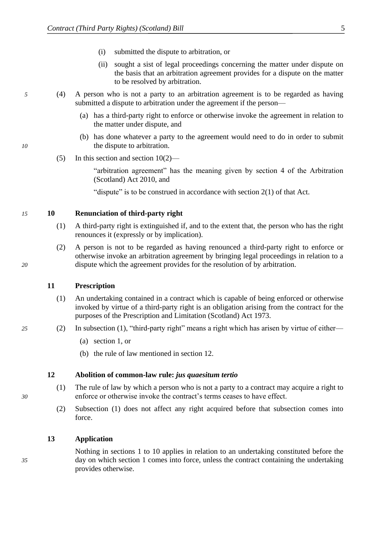- (i) submitted the dispute to arbitration, or
- (ii) sought a sist of legal proceedings concerning the matter under dispute on the basis that an arbitration agreement provides for a dispute on the matter to be resolved by arbitration.
- <span id="page-6-0"></span>*5* (4) A person who is not a party to an arbitration agreement is to be regarded as having submitted a dispute to arbitration under the agreement if the person—
	- (a) has a third-party right to enforce or otherwise invoke the agreement in relation to the matter under dispute, and
- (b) has done whatever a party to the agreement would need to do in order to submit *10* the dispute to arbitration.
	- (5) In this section and section [10\(2\)—](#page-6-0)

"arbitration agreement" has the meaning given by section 4 of the Arbitration (Scotland) Act 2010, and

"dispute" is to be construed in accordance with section 2(1) of that Act.

### *15* **10 Renunciation of third-party right**

- (1) A third-party right is extinguished if, and to the extent that, the person who has the right renounces it (expressly or by implication).
- (2) A person is not to be regarded as having renounced a third-party right to enforce or otherwise invoke an arbitration agreement by bringing legal proceedings in relation to a *20* dispute which the agreement provides for the resolution of by arbitration.

#### **11 Prescription**

- (1) An undertaking contained in a contract which is capable of being enforced or otherwise invoked by virtue of a third-party right is an obligation arising from the contract for the purposes of the Prescription and Limitation (Scotland) Act 1973.
- *25* (2) In subsection [\(1\),](#page-6-0) "third-party right" means a right which has arisen by virtue of either—
	- (a) section [1,](#page-2-0) or
	- (b) the rule of law mentioned in section [12.](#page-6-0)

#### **12 Abolition of common-law rule:** *jus quaesitum tertio*

- (1) The rule of law by which a person who is not a party to a contract may acquire a right to *30* enforce or otherwise invoke the contract's terms ceases to have effect.
	- (2) Subsection [\(1\)](#page-6-0) does not affect any right acquired before that subsection comes into force.

### **13 Application**

Nothing in sections [1](#page-2-0) to [10](#page-6-0) applies in relation to an undertaking constituted before the *35* day on which section [1](#page-2-0) comes into force, unless the contract containing the undertaking provides otherwise.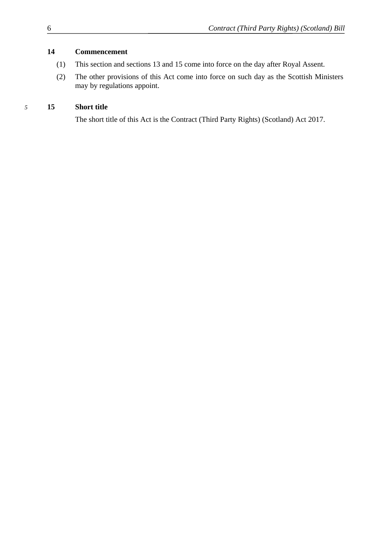## <span id="page-7-0"></span>**14 Commencement**

- (1) This section and sections [13](#page-6-0) and [15](#page-7-0) come into force on the day after Royal Assent.
- (2) The other provisions of this Act come into force on such day as the Scottish Ministers may by regulations appoint.

## *5* **15 Short title**

The short title of this Act is the Contract (Third Party Rights) (Scotland) Act 2017.